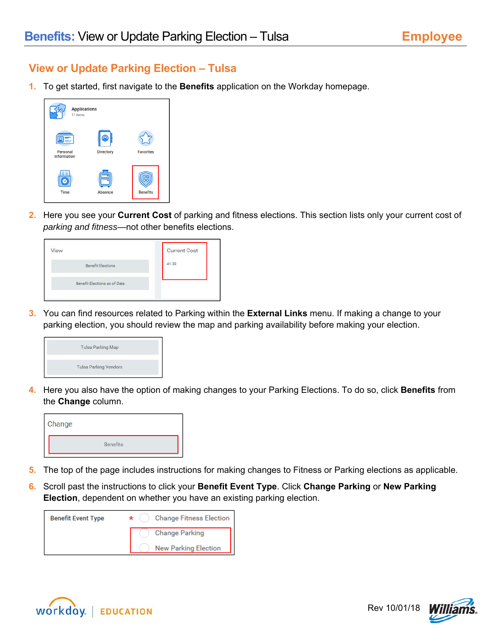## **View or Update Parking Election – Tulsa**

**1.** To get started, first navigate to the **Benefits** application on the Workday homepage.



**2.** Here you see your **Current Cost** of parking and fitness elections. This section lists only your current cost of *parking and fitness*—not other benefits elections.

| <b>Current Cost</b> |
|---------------------|
| 41.50               |
|                     |
|                     |

**3.** You can find resources related to Parking within the **External Links** menu. If making a change to your parking election, you should review the map and parking availability before making your election.



**4.** Here you also have the option of making changes to your Parking Elections. To do so, click **Benefits** from the **Change** column.



- **5.** The top of the page includes instructions for making changes to Fitness or Parking elections as applicable.
- **6.** Scroll past the instructions to click your **Benefit Event Type**. Click **Change Parking** or **New Parking Election**, dependent on whether you have an existing parking election.